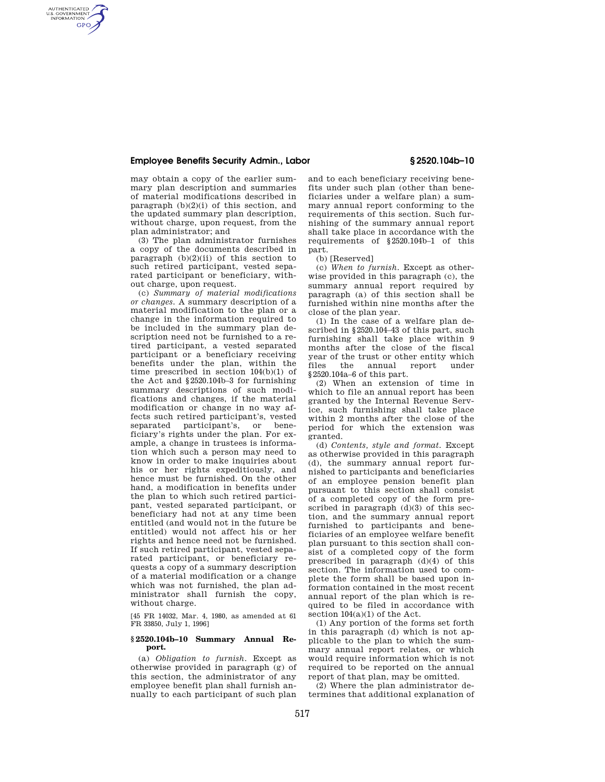# **Employee Benefits Security Admin., Labor § 2520.104b–10**

AUTHENTICATED<br>U.S. GOVERNMENT<br>INFORMATION **GPO** 

may obtain a copy of the earlier summary plan description and summaries of material modifications described in paragraph  $(b)(2)(i)$  of this section, and the updated summary plan description, without charge, upon request, from the plan administrator; and

(3) The plan administrator furnishes a copy of the documents described in paragraph  $(b)(2)(ii)$  of this section to such retired participant, vested separated participant or beneficiary, without charge, upon request.

(c) *Summary of material modifications or changes.* A summary description of a material modification to the plan or a change in the information required to be included in the summary plan description need not be furnished to a retired participant, a vested separated participant or a beneficiary receiving benefits under the plan, within the time prescribed in section 104(b)(1) of the Act and §2520.104b–3 for furnishing summary descriptions of such modifications and changes, if the material modification or change in no way affects such retired participant's, vested separated participant's, or beneficiary's rights under the plan. For example, a change in trustees is information which such a person may need to know in order to make inquiries about his or her rights expeditiously, and hence must be furnished. On the other hand, a modification in benefits under the plan to which such retired participant, vested separated participant, or beneficiary had not at any time been entitled (and would not in the future be entitled) would not affect his or her rights and hence need not be furnished. If such retired participant, vested separated participant, or beneficiary requests a copy of a summary description of a material modification or a change which was not furnished, the plan administrator shall furnish the copy, without charge.

[45 FR 14032, Mar. 4, 1980, as amended at 61 FR 33850, July 1, 1996]

#### **§ 2520.104b–10 Summary Annual Report.**

(a) *Obligation to furnish.* Except as otherwise provided in paragraph (g) of this section, the administrator of any employee benefit plan shall furnish annually to each participant of such plan

and to each beneficiary receiving benefits under such plan (other than beneficiaries under a welfare plan) a summary annual report conforming to the requirements of this section. Such furnishing of the summary annual report shall take place in accordance with the requirements of §2520.104b–1 of this part.

(b) [Reserved]

(c) *When to furnish.* Except as otherwise provided in this paragraph (c), the summary annual report required by paragraph (a) of this section shall be furnished within nine months after the close of the plan year.

(1) In the case of a welfare plan described in §2520.104–43 of this part, such furnishing shall take place within 9 months after the close of the fiscal year of the trust or other entity which<br>files the annual report under the annual §2520.104a–6 of this part.

(2) When an extension of time in which to file an annual report has been granted by the Internal Revenue Service, such furnishing shall take place within 2 months after the close of the period for which the extension was granted.

(d) *Contents, style and format.* Except as otherwise provided in this paragraph (d), the summary annual report furnished to participants and beneficiaries of an employee pension benefit plan pursuant to this section shall consist of a completed copy of the form prescribed in paragraph  $(d)(3)$  of this section, and the summary annual report furnished to participants and beneficiaries of an employee welfare benefit plan pursuant to this section shall consist of a completed copy of the form prescribed in paragraph (d)(4) of this section. The information used to complete the form shall be based upon information contained in the most recent annual report of the plan which is required to be filed in accordance with section  $104(a)(1)$  of the Act.

(1) Any portion of the forms set forth in this paragraph (d) which is not applicable to the plan to which the summary annual report relates, or which would require information which is not required to be reported on the annual report of that plan, may be omitted.

(2) Where the plan administrator determines that additional explanation of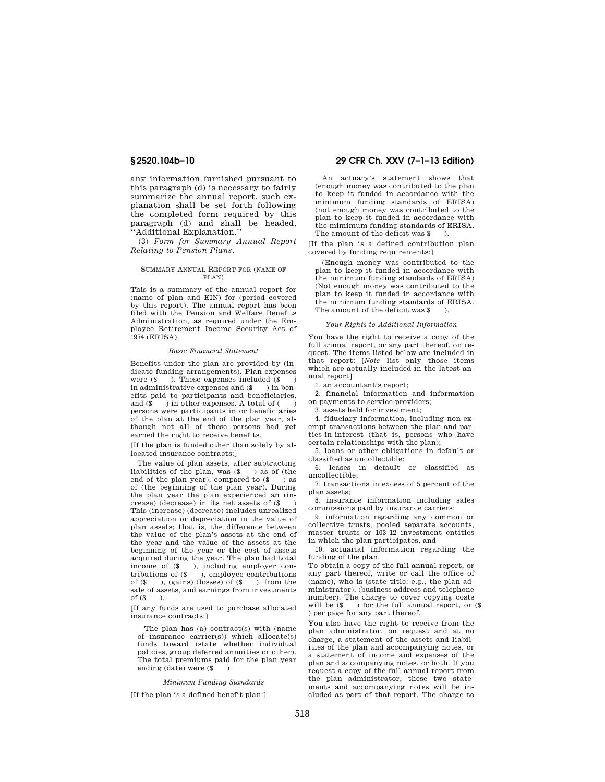any information furnished pursuant to this paragraph (d) is necessary to fairly summarize the annual report, such explanation shall be set forth following the completed form required by this paragraph (d) and shall be headed, ''Additional Explanation.''

(3) *Form for Summary Annual Report Relating to Pension Plans.* 

#### SUMMARY ANNUAL REPORT FOR (NAME OF PLAN)

This is a summary of the annual report for (name of plan and EIN) for (period covered by this report). The annual report has been filed with the Pension and Welfare Benefits Administration, as required under the Employee Retirement Income Security Act of 1974 (ERISA).

### *Basic Financial Statement*

Benefits under the plan are provided by (indicate funding arrangements). Plan expenses were  $(\$ \ )$ . These expenses included  $(\$ \ )$ in administrative expenses and (\$ ) in benefits paid to participants and beneficiaries, and  $(\$)$  in other expenses. A total of ( persons were participants in or beneficiaries of the plan at the end of the plan year, although not all of these persons had yet earned the right to receive benefits.

[If the plan is funded other than solely by allocated insurance contracts:]

The value of plan assets, after subtracting liabilities of the plan, was (\$ ) as of (the end of the plan year), compared to  $(\$$  ) as of (the beginning of the plan year). During the plan year the plan experienced an (increase) (decrease) in its net assets of (\$ ) This (increase) (decrease) includes unrealized appreciation or depreciation in the value of plan assets; that is, the difference between the value of the plan's assets at the end of the year and the value of the assets at the beginning of the year or the cost of assets acquired during the year. The plan had total income of (\$ ), including employer contributions of (\$ ), employee contributions of  $(\$ \)$ , (gains) (losses) of  $(\$ \)$ , from the sale of assets, and earnings from investments of  $(\text{\$} \qquad)$ .

[If any funds are used to purchase allocated insurance contracts:]

The plan has (a) contract(s) with (name of insurance carrier(s)) which allocate(s) funds toward (state whether individual policies, group deferred annuities or other). The total premiums paid for the plan year ending  $(\text{date})$  were  $(\text{\$}^{\bullet})$ .

### *Minimum Funding Standards*

[If the plan is a defined benefit plan:]

# **§ 2520.104b–10 29 CFR Ch. XXV (7–1–13 Edition)**

An actuary's statement shows that (enough money was contributed to the plan to keep it funded in accordance with the minimum funding standards of ERISA) (not enough money was contributed to the plan to keep it funded in accordance with the mimimum funding standards of ERISA. The amount of the deficit was  $\$  ).

[If the plan is a defined contribution plan covered by funding requirements:]

(Enough money was contributed to the plan to keep it funded in accordance with the minimum funding standards of ERISA) (Not enough money was contributed to the plan to keep it funded in accordance with the minimum funding standards of ERISA. The amount of the deficit was  $\delta$  ).

## *Your Rights to Additional Information*

You have the right to receive a copy of the full annual report, or any part thereof, on request. The items listed below are included in that report: [*Note*—list only those items which are actually included in the latest annual report]

1. an accountant's report;

2. financial information and information on payments to service providers;

3. assets held for investment;

4. fiduciary information, including non-exempt transactions between the plan and parties-in-interest (that is, persons who have certain relationships with the plan);

5. loans or other obligations in default or classified as uncollectible;

6. leases in default or classified as uncollectible;

7. transactions in excess of 5 percent of the plan assets;

8. insurance information including sales commissions paid by insurance carriers;

9. information regarding any common or collective trusts, pooled separate accounts, master trusts or 103–12 investment entities in which the plan participates, and

10. actuarial information regarding the funding of the plan.

To obtain a copy of the full annual report, or any part thereof, write or call the office of (name), who is (state title: e.g., the plan administrator), (business address and telephone number). The charge to cover copying costs will be  $(\text{\$} \qquad)$  for the full annual report, or  $(\text{\$}$ ) per page for any part thereof.

You also have the right to receive from the plan administrator, on request and at no charge, a statement of the assets and liabilities of the plan and accompanying notes, or a statement of income and expenses of the plan and accompanying notes, or both. If you request a copy of the full annual report from the plan administrator, these two statements and accompanying notes will be included as part of that report. The charge to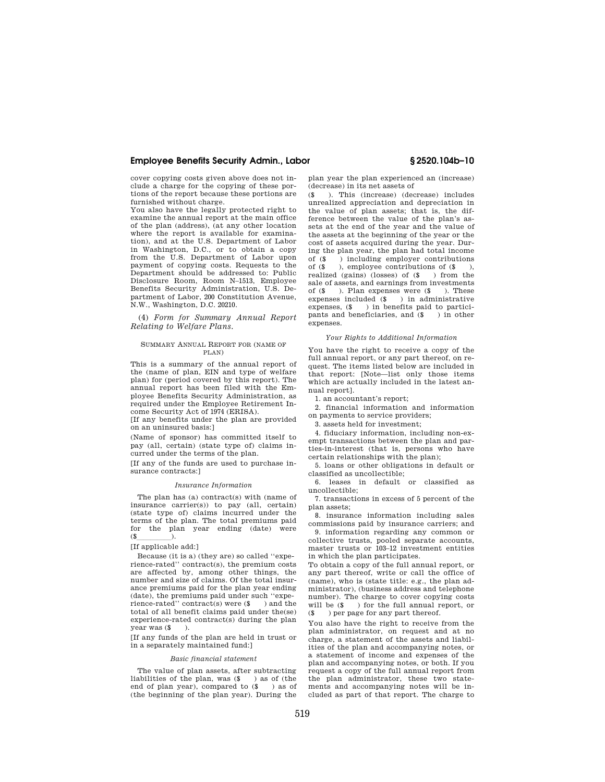### **Employee Benefits Security Admin., Labor § 2520.104b–10**

cover copying costs given above does not include a charge for the copying of these portions of the report because these portions are furnished without charge.

You also have the legally protected right to examine the annual report at the main office of the plan (address), (at any other location where the report is available for examination), and at the U.S. Department of Labor in Washington, D.C., or to obtain a copy from the U.S. Department of Labor upon payment of copying costs. Requests to the Department should be addressed to: Public Disclosure Room, Room N–1513, Employee Benefits Security Administration, U.S. Department of Labor, 200 Constitution Avenue, N.W., Washington, D.C. 20210.

(4) *Form for Summary Annual Report Relating to Welfare Plans.* 

### SUMMARY ANNUAL REPORT FOR (NAME OF PLAN)

This is a summary of the annual report of the (name of plan, EIN and type of welfare plan) for (period covered by this report). The annual report has been filed with the Employee Benefits Security Administration, as required under the Employee Retirement Income Security Act of 1974 (ERISA).

[If any benefits under the plan are provided on an uninsured basis:]

(Name of sponsor) has committed itself to pay (all, certain) (state type of) claims incurred under the terms of the plan.

[If any of the funds are used to purchase insurance contracts:]

#### *Insurance Information*

The plan has (a) contract(s) with (name of insurance carrier(s)) to pay (all, certain) (state type of) claims incurred under the terms of the plan. The total premiums paid for the plan year ending (date) were

# (\$lllll). [If applicable add:]

Because (it is a) (they are) so called ''experience-rated'' contract(s), the premium costs are affected by, among other things, the number and size of claims. Of the total insurance premiums paid for the plan year ending (date), the premiums paid under such ''experience-rated'' contract(s) were  $$$  ) and the total of all benefit claims paid under the(se) experience-rated contract(s) during the plan year was  $($ 

[If any funds of the plan are held in trust or in a separately maintained fund:]

#### *Basic financial statement*

The value of plan assets, after subtracting liabilities of the plan, was (\$ ) as of (the end of plan year), compared to (\$ ) as of (the beginning of the plan year). During the

plan year the plan experienced an (increase) (decrease) in its net assets of

(\$ ). This (increase) (decrease) includes unrealized appreciation and depreciation in the value of plan assets; that is, the difference between the value of the plan's assets at the end of the year and the value of the assets at the beginning of the year or the cost of assets acquired during the year. During the plan year, the plan had total income of (\$ ) including employer contributions of  $(\$ \)$ , employee contributions of  $(\$ \)$ , realized (gains) (losses) of (\$ ) from the sale of assets, and earnings from investments of (\$ ). Plan expenses were (\$ ). These expenses included (\$ ) in administrative expenses, (\$ ) in benefits paid to participants and beneficiaries, and (\$ ) in other expenses.

#### *Your Rights to Additional Information*

You have the right to receive a copy of the full annual report, or any part thereof, on request. The items listed below are included in that report: [Note—list only those items which are actually included in the latest annual report].

1. an accountant's report;

2. financial information and information on payments to service providers;

3. assets held for investment;

4. fiduciary information, including non-exempt transactions between the plan and parties-in-interest (that is, persons who have certain relationships with the plan);

5. loans or other obligations in default or classified as uncollectible;

6. leases in default or classified as uncollectible;

7. transactions in excess of 5 percent of the plan assets;

8. insurance information including sales commissions paid by insurance carriers; and

9. information regarding any common or collective trusts, pooled separate accounts, master trusts or 103–12 investment entities in which the plan participates.

To obtain a copy of the full annual report, or any part thereof, write or call the office of (name), who is (state title: e.g., the plan administrator), (business address and telephone number). The charge to cover copying costs will be  $(\text{\$})$  for the full annual report, or (\$ ) per page for any part thereof.

You also have the right to receive from the plan administrator, on request and at no charge, a statement of the assets and liabilities of the plan and accompanying notes, or a statement of income and expenses of the plan and accompanying notes, or both. If you request a copy of the full annual report from the plan administrator, these two statements and accompanying notes will be included as part of that report. The charge to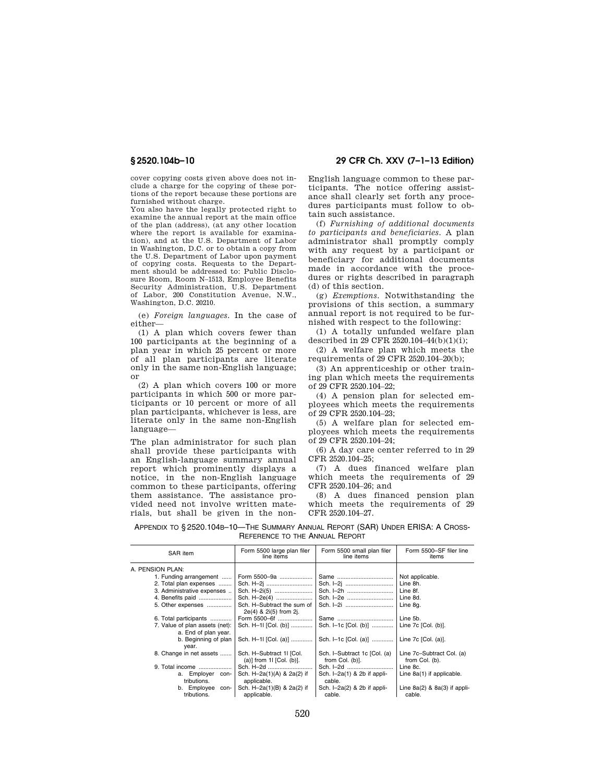cover copying costs given above does not include a charge for the copying of these portions of the report because these portions are furnished without charge.

You also have the legally protected right to examine the annual report at the main office of the plan (address), (at any other location where the report is available for examination), and at the U.S. Department of Labor in Washington, D.C. or to obtain a copy from the U.S. Department of Labor upon payment of copying costs. Requests to the Department should be addressed to: Public Disclosure Room, Room N–1513, Employee Benefits Security Administration, U.S. Department of Labor, 200 Constitution Avenue, N.W., Washington, D.C. 20210.

(e) *Foreign languages.* In the case of either—

(1) A plan which covers fewer than 100 participants at the beginning of a plan year in which 25 percent or more of all plan participants are literate only in the same non-English language; or

(2) A plan which covers 100 or more participants in which 500 or more participants or 10 percent or more of all plan participants, whichever is less, are literate only in the same non-English language—

The plan administrator for such plan shall provide these participants with an English-language summary annual report which prominently displays a notice, in the non-English language common to these participants, offering them assistance. The assistance provided need not involve written materials, but shall be given in the non-

**§ 2520.104b–10 29 CFR Ch. XXV (7–1–13 Edition)** 

English language common to these participants. The notice offering assistance shall clearly set forth any procedures participants must follow to obtain such assistance.

(f) *Furnishing of additional documents to participants and beneficiaries.* A plan administrator shall promptly comply with any request by a participant or beneficiary for additional documents made in accordance with the procedures or rights described in paragraph (d) of this section.

(g) *Exemptions.* Notwithstanding the provisions of this section, a summary annual report is not required to be furnished with respect to the following:

(1) A totally unfunded welfare plan described in 29 CFR 2520.104–44(b)(1)(i);

(2) A welfare plan which meets the requirements of 29 CFR 2520.104–20(b);

(3) An apprenticeship or other training plan which meets the requirements of 29 CFR 2520.104–22;

(4) A pension plan for selected employees which meets the requirements of 29 CFR 2520.104–23;

(5) A welfare plan for selected employees which meets the requirements of 29 CFR 2520.104–24;

(6) A day care center referred to in 29 CFR 2520.104–25;

(7) A dues financed welfare plan which meets the requirements of 29 CFR 2520.104–26; and

(8) A dues financed pension plan which meets the requirements of 29 CFR 2520.104–27.

APPENDIX TO § 2520.104B–10—THE SUMMARY ANNUAL REPORT (SAR) UNDER ERISA: A CROSS-REFERENCE TO THE ANNUAL REPORT

| SAR item                                               | Form 5500 large plan filer<br>line items                   | Form 5500 small plan filer<br>line items        | Form 5500-SF filer line<br>items            |
|--------------------------------------------------------|------------------------------------------------------------|-------------------------------------------------|---------------------------------------------|
| A. PENSION PLAN:                                       |                                                            |                                                 |                                             |
| 1. Funding arrangement                                 | Form 5500-9a                                               |                                                 | Not applicable.                             |
| 2. Total plan expenses                                 | Sch. H-2j                                                  |                                                 | Line 8h.                                    |
| 3. Administrative expenses                             | Sch. H-2i(5)                                               | Sch. I-2h                                       | Line 8f.                                    |
| 4. Benefits paid                                       | Sch. H-2e(4)                                               | Sch. I-2e                                       | Line 8d.                                    |
| 5. Other expenses                                      | Sch. H-Subtract the sum of<br>2e(4) & 2i(5) from 2j.       |                                                 | Line 8q.                                    |
| 6. Total participants                                  | Form 5500-6f                                               |                                                 | Line 5b.                                    |
| 7. Value of plan assets (net):<br>a. End of plan year. | Sch. H-11 [Col. (b)]                                       | Sch. I-1c [Col. (b)]                            | Line $7c$ $[Col. (b)].$                     |
| b. Beginning of plan<br>year.                          | Sch. H-11 [Col. (a)]                                       | Sch. I-1c [Col. (a)]                            | Line $7c$ $[Col. (a)].$                     |
| 8. Change in net assets                                | Sch. H-Subtract 1I [Col.<br>$(a)$ ] from 11 [Col. $(b)$ ]. | Sch. I-Subtract 1c [Col. (a)<br>from Col. (b)]. | Line 7c-Subtract Col. (a)<br>from Col. (b). |
| 9. Total income                                        | Sch. H-2d                                                  | Sch. I-2d                                       | Line 8c.                                    |
| a. Employer con-<br>tributions.                        | Sch. H-2a(1)(A) & 2a(2) if<br>applicable.                  | Sch. $I - 2a(1)$ & 2b if appli-<br>cable.       | Line 8a(1) if applicable.                   |
| b. Employee con-<br>tributions.                        | Sch. H-2a(1)(B) & 2a(2) if<br>applicable.                  | Sch. $I - 2a(2)$ & 2b if appli-<br>cable.       | Line $8a(2)$ & $8a(3)$ if appli-<br>cable.  |